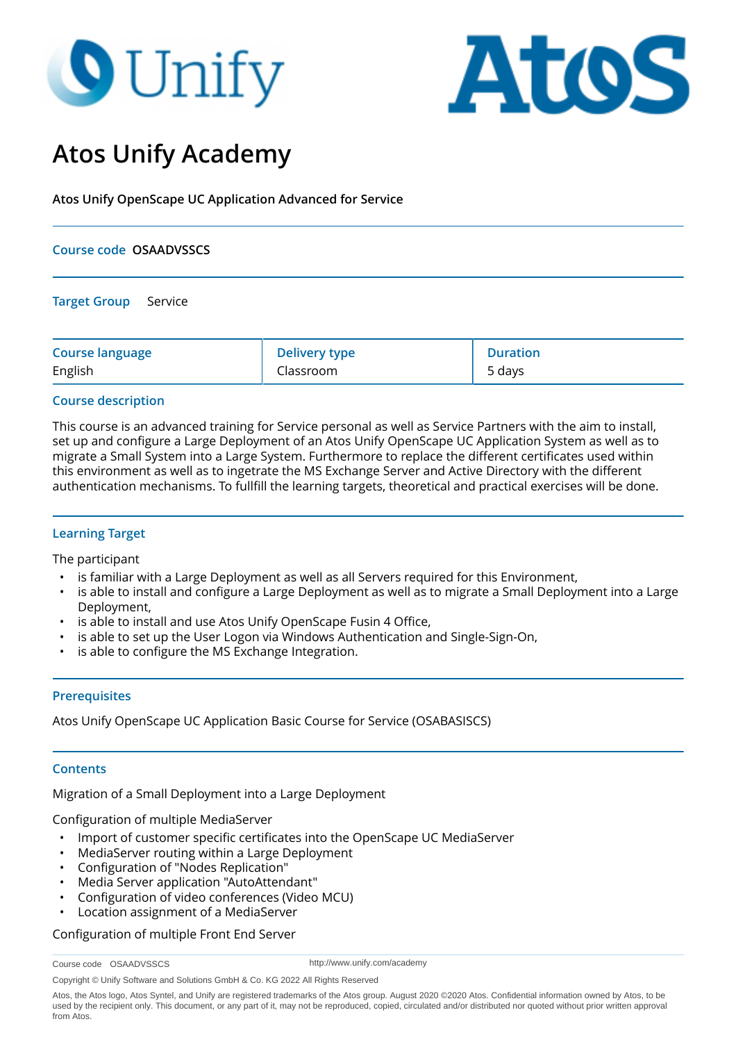# **O** Unify



# **Atos Unify Academy**

**Atos Unify OpenScape UC Application Advanced for Service**

## **Course code OSAADVSSCS**

**Target Group** Service

| <b>Course language</b> | <b>Delivery type</b> | <b>Duration</b> |
|------------------------|----------------------|-----------------|
| English                | Classroom            | 5 days          |

## **Course description**

This course is an advanced training for Service personal as well as Service Partners with the aim to install, set up and configure a Large Deployment of an Atos Unify OpenScape UC Application System as well as to migrate a Small System into a Large System. Furthermore to replace the different certificates used within this environment as well as to ingetrate the MS Exchange Server and Active Directory with the different authentication mechanisms. To fullfill the learning targets, theoretical and practical exercises will be done.

# **Learning Target**

The participant

- is familiar with a Large Deployment as well as all Servers required for this Environment,
- is able to install and configure a Large Deployment as well as to migrate a Small Deployment into a Large Deployment,
- is able to install and use Atos Unify OpenScape Fusin 4 Office,
- is able to set up the User Logon via Windows Authentication and Single-Sign-On,
- is able to configure the MS Exchange Integration.

# **Prerequisites**

Atos Unify OpenScape UC Application Basic Course for Service (OSABASISCS)

#### **Contents**

Migration of a Small Deployment into a Large Deployment

Configuration of multiple MediaServer

- Import of customer specific certificates into the OpenScape UC MediaServer
- MediaServer routing within a Large Deployment
- Configuration of "Nodes Replication"
- Media Server application "AutoAttendant"
- Configuration of video conferences (Video MCU)
- Location assignment of a MediaServer

Configuration of multiple Front End Server

```
Course code OSAADVSSCS
```
http://www.unify.com/academy

Copyright © Unify Software and Solutions GmbH & Co. KG 2022 All Rights Reserved

Atos, the Atos logo, Atos Syntel, and Unify are registered trademarks of the Atos group. August 2020 ©2020 Atos. Confidential information owned by Atos, to be used by the recipient only. This document, or any part of it, may not be reproduced, copied, circulated and/or distributed nor quoted without prior written approval from Atos.